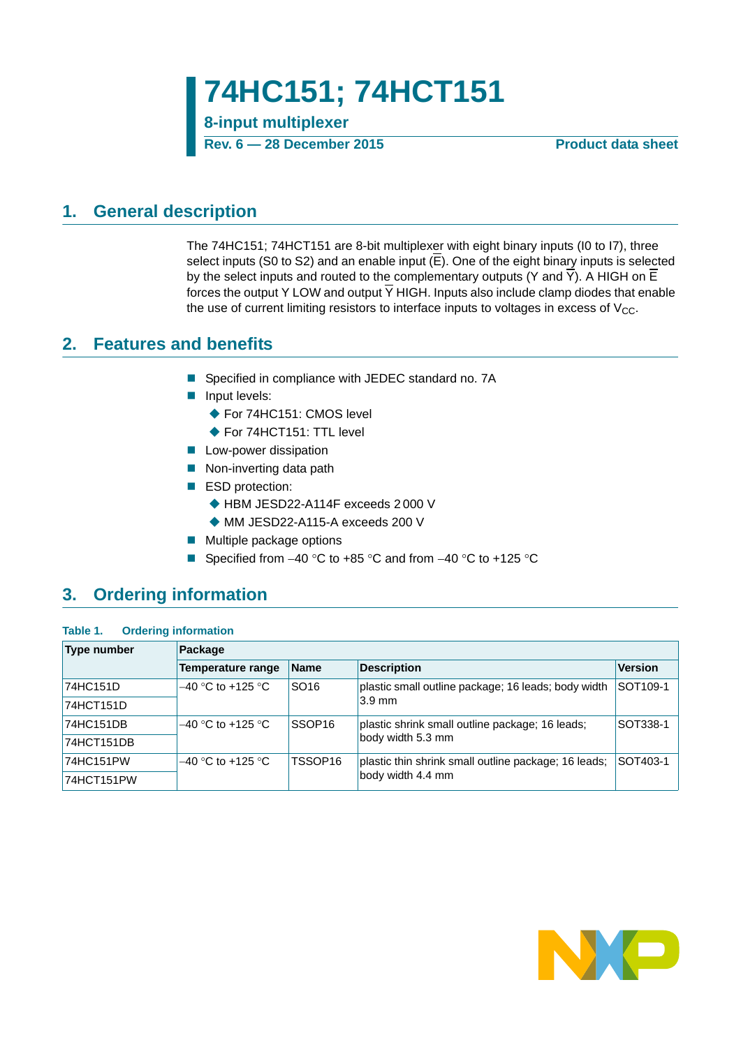**8-input multiplexer**

**Rev. 6 — 28 December 2015 Product data sheet**

### <span id="page-0-0"></span>**1. General description**

The 74HC151; 74HCT151 are 8-bit multiplexer with eight binary inputs (I0 to I7), three select inputs (S0 to S2) and an enable input  $(E)$ . One of the eight binary inputs is selected by the select inputs and routed to the complementary outputs (Y and Y). A HIGH on E forces the output Y LOW and output  $\overline{Y}$  HIGH. Inputs also include clamp diodes that enable the use of current limiting resistors to interface inputs to voltages in excess of  $V_{CC}$ .

### <span id="page-0-1"></span>**2. Features and benefits**

- Specified in compliance with JEDEC standard no. 7A
- **Input levels:** 
	- ◆ For 74HC151: CMOS level
	- ◆ For 74HCT151: TTL level
- **Low-power dissipation**
- Non-inverting data path
- ESD protection:
	- ◆ HBM JESD22-A114F exceeds 2 000 V
	- MM JESD22-A115-A exceeds 200 V
- **Multiple package options**
- Specified from  $-40$  °C to  $+85$  °C and from  $-40$  °C to  $+125$  °C

# <span id="page-0-2"></span>**3. Ordering information**

| Table 1. |  | <b>Ordering information</b> |
|----------|--|-----------------------------|
|----------|--|-----------------------------|

| <b>Type number</b> | Package             |                    |                                                      |                |  |  |  |  |  |  |  |
|--------------------|---------------------|--------------------|------------------------------------------------------|----------------|--|--|--|--|--|--|--|
|                    | Temperature range   | <b>Name</b>        | <b>Description</b>                                   | <b>Version</b> |  |  |  |  |  |  |  |
| 74HC151D           | $-40$ °C to +125 °C | SO <sub>16</sub>   | plastic small outline package; 16 leads; body width  | SOT109-1       |  |  |  |  |  |  |  |
| 74HCT151D          |                     |                    | $3.9 \text{ mm}$                                     |                |  |  |  |  |  |  |  |
| 74HC151DB          | $-40$ °C to +125 °C | SSOP <sub>16</sub> | plastic shrink small outline package; 16 leads;      | SOT338-1       |  |  |  |  |  |  |  |
| 74HCT151DB         |                     |                    | body width 5.3 mm                                    |                |  |  |  |  |  |  |  |
| 74HC151PW          | $-40$ °C to +125 °C | TSSOP16            | plastic thin shrink small outline package; 16 leads; | SOT403-1       |  |  |  |  |  |  |  |
| 74HCT151PW         |                     |                    | body width 4.4 mm                                    |                |  |  |  |  |  |  |  |

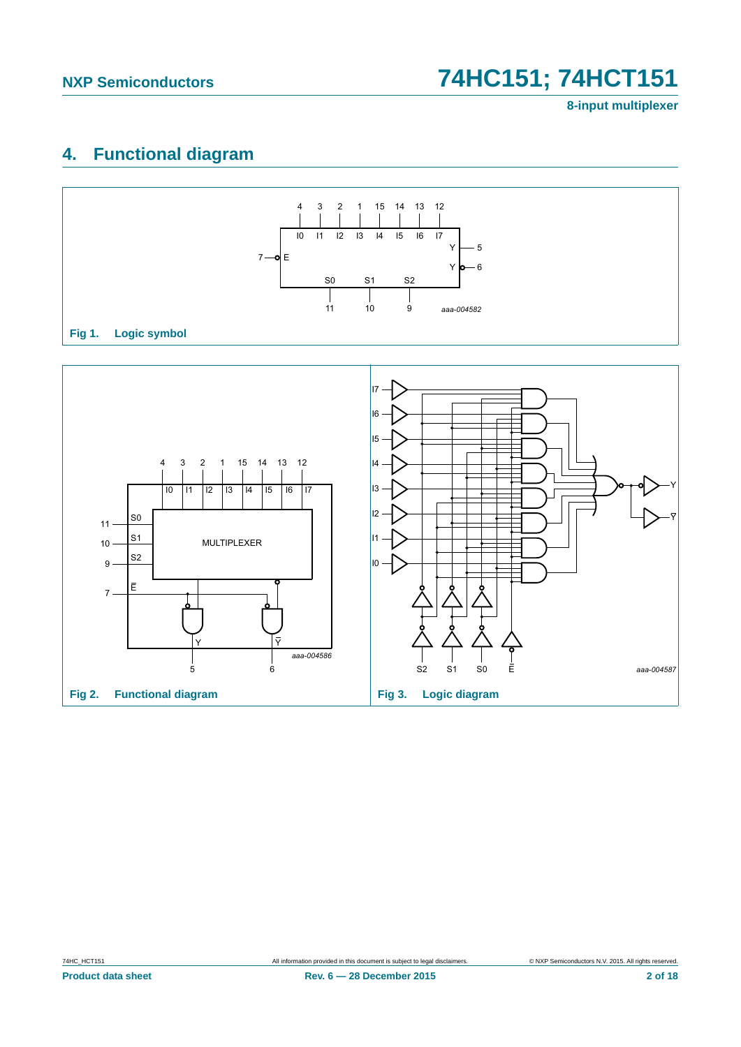# <span id="page-1-0"></span>**4. Functional diagram**



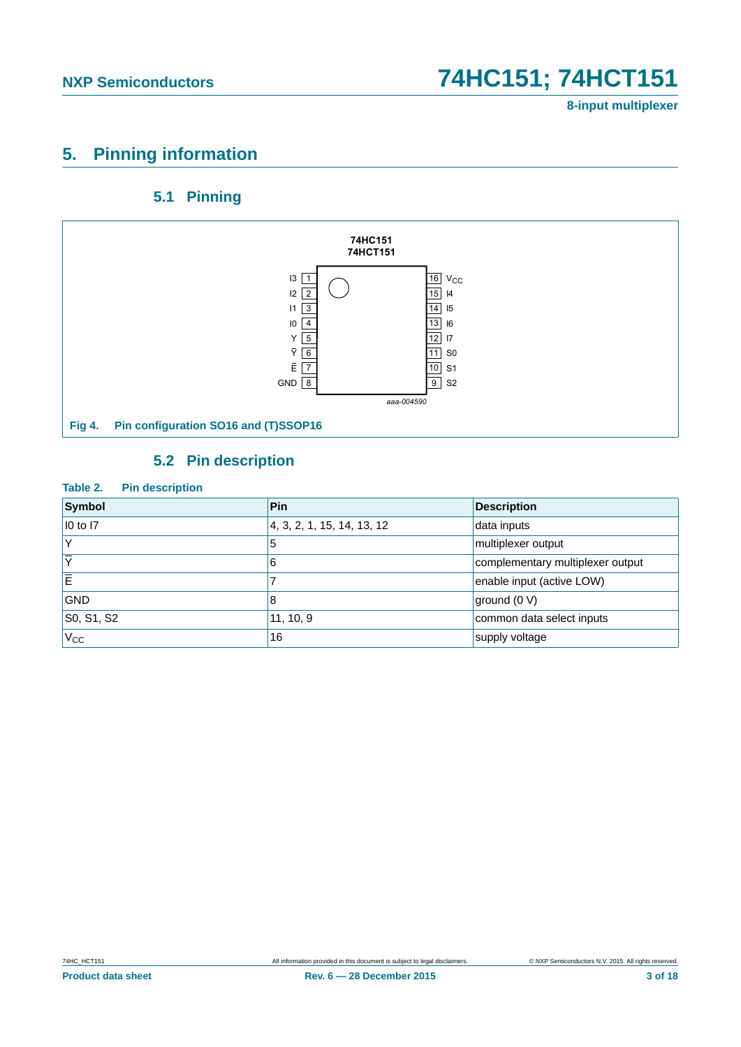**8-input multiplexer**

# <span id="page-2-0"></span>**5. Pinning information**

### **5.1 Pinning**

<span id="page-2-1"></span>

# **5.2 Pin description**

#### <span id="page-2-2"></span>**Table 2. Pin description**

| Symbol                  | Pin                        | <b>Description</b>               |
|-------------------------|----------------------------|----------------------------------|
| 10 to 17                | 4, 3, 2, 1, 15, 14, 13, 12 | data inputs                      |
|                         | 5                          | multiplexer output               |
| $\overline{\mathbf{v}}$ | 6                          | complementary multiplexer output |
| Ē                       |                            | enable input (active LOW)        |
| <b>GND</b>              | 8                          | ground (0 V)                     |
| S0, S1, S2              | 11, 10, 9                  | common data select inputs        |
| $V_{CC}$                | 16                         | supply voltage                   |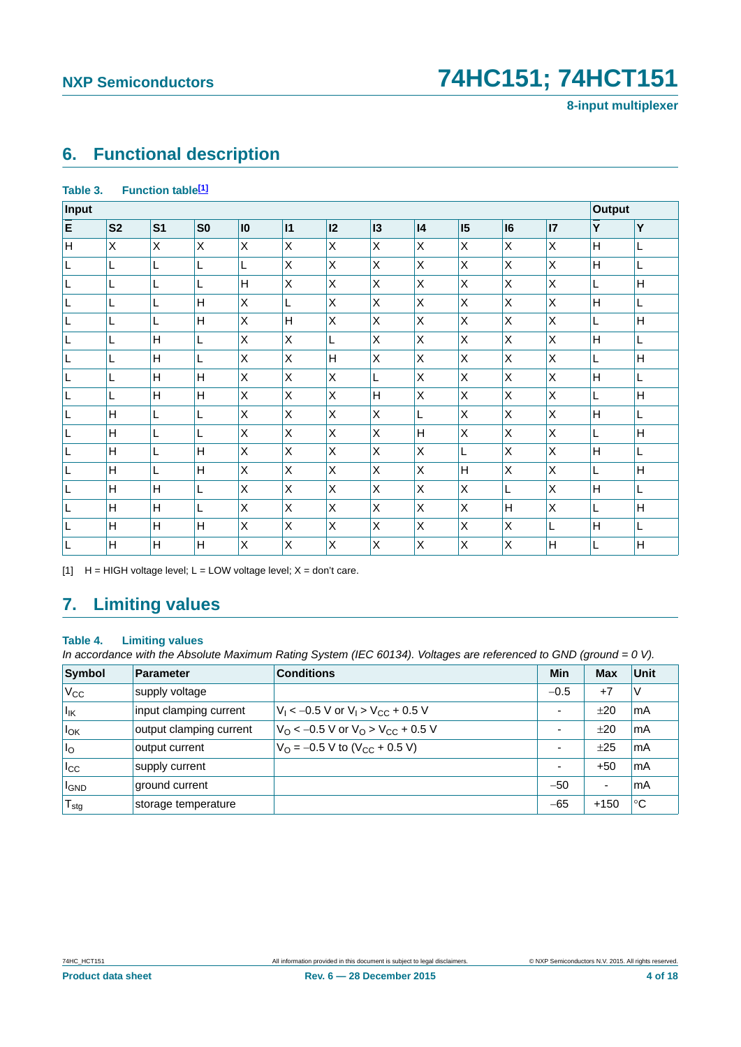**8-input multiplexer**

# <span id="page-3-1"></span>**6. Functional description**

#### Table 3. Function table<sup>[1]</sup>

| Input |                |                |                 |              |              |    |         |              |              |         | <b>Output</b>   |              |   |
|-------|----------------|----------------|-----------------|--------------|--------------|----|---------|--------------|--------------|---------|-----------------|--------------|---|
| E     | S <sub>2</sub> | S <sub>1</sub> | SO <sub>2</sub> | $\mathbf{I}$ | 11           | 12 | 13      | 4            | 15           | 16      | $\overline{17}$ | Y            | Y |
| H     | X              | X              | X               | X            | X            | X  | X       | X            | $\mathsf X$  | X       | X               | H            | L |
| L     | L              | L              | L               | L            | X            | X  | Χ       | X            | $\mathsf X$  | Χ       | X               | H            | L |
| L     | L              | L              | L               | H            | X            | X  | Χ       | Χ            | $\mathsf{X}$ | Χ       | X               | L            | H |
| ┗     | L              | L              | Н               | X            | L            | X  | X       | X            | $\mathsf{X}$ | X       | X               | H            | L |
| L     | L              | L              | H               | X            | H            | X  | $\sf X$ | X            | $\mathsf{X}$ | $\sf X$ | X               | L            | H |
| L     | L              | H              | L               | X            | $\mathsf X$  | L  | Χ       | $\mathsf X$  | $\mathsf X$  | Χ       | $\pmb{\times}$  | $\mathsf{H}$ | L |
| L     | L              | Н              | L               | X            | $\mathsf X$  | H  | Χ       | $\mathsf X$  | $\mathsf X$  | Χ       | $\pmb{\times}$  | L            | H |
| L     |                | Н              | H               | Χ            | X            | X  | L       | Χ            | Χ            | Χ       | X               | н            | L |
| L     | L              | H              | H               | X            | X            | X  | H       | Χ            | $\sf X$      | $\sf X$ | X               | L            | H |
| L     | Η              | Г              | L               | Χ            | X            | X  | Χ       | L            | $\mathsf{X}$ | X       | X               | H            | L |
| L     | Η              | Г              | L               | X            | X            | X  | Χ       | H            | $\mathsf{X}$ | Χ       | X               | L            | H |
| L     | H              | L              | Н               | X            | X            | X  | $\sf X$ | X            | L            | Χ       | X               | H            | L |
| L     | Н              | L              | Н               | X            | $\mathsf{X}$ | X  | $\sf X$ | X            | H            | Χ       | X               | L            | H |
| L     | H              | $\overline{H}$ | L               | X            | $\mathsf{X}$ | X  | X       | $\mathsf{X}$ | X            | L       | X               | H            | L |
| IL    | H              | H              | L               | X            | X            | X  | X       | X            | X            | H       | X               | L            | H |
| IL    | н              | H              | Н               | X            | X            | X  | X       | X            | X            | X       | L               | H            | L |
| L     | Н              | H              | H               | X            | X            | Χ  | X       | X            | $\mathsf X$  | X       | $\mathsf{H}$    | L            | H |

<span id="page-3-0"></span>[1]  $H = HIGH$  voltage level;  $L = LOW$  voltage level;  $X = don't$  care.

# <span id="page-3-2"></span>**7. Limiting values**

#### **Table 4. Limiting values**

*In accordance with the Absolute Maximum Rating System (IEC 60134). Voltages are referenced to GND (ground = 0 V).*

| Symbol                  | <b>Parameter</b>        | <b>Conditions</b>                                               | Min                      | <b>Max</b> | Unit |
|-------------------------|-------------------------|-----------------------------------------------------------------|--------------------------|------------|------|
| $V_{\rm CC}$            | supply voltage          |                                                                 | $-0.5$                   | $+7$       | ΙV   |
| $I_{IK}$                | input clamping current  | $V_1 < -0.5$ V or $V_1 > V_{CC} + 0.5$ V                        | $\overline{\phantom{a}}$ | ±20        | mA   |
| $I_{OK}$                | output clamping current | $V_{\Omega}$ < -0.5 V or $V_{\Omega}$ > V <sub>CC</sub> + 0.5 V | ٠                        | ±20        | mA   |
| $\mathsf{I}_\mathsf{O}$ | output current          | $V_{\Omega}$ = -0.5 V to (V <sub>CC</sub> + 0.5 V)              | $\overline{\phantom{0}}$ | $+25$      | mA   |
| $I_{\rm CC}$            | supply current          |                                                                 | $\overline{\phantom{0}}$ | $+50$      | mA   |
| <b>I</b> GND            | ground current          |                                                                 | $-50$                    | ۰          | mA   |
| $T_{\text{stg}}$        | storage temperature     |                                                                 | $-65$                    | $+150$     | °C   |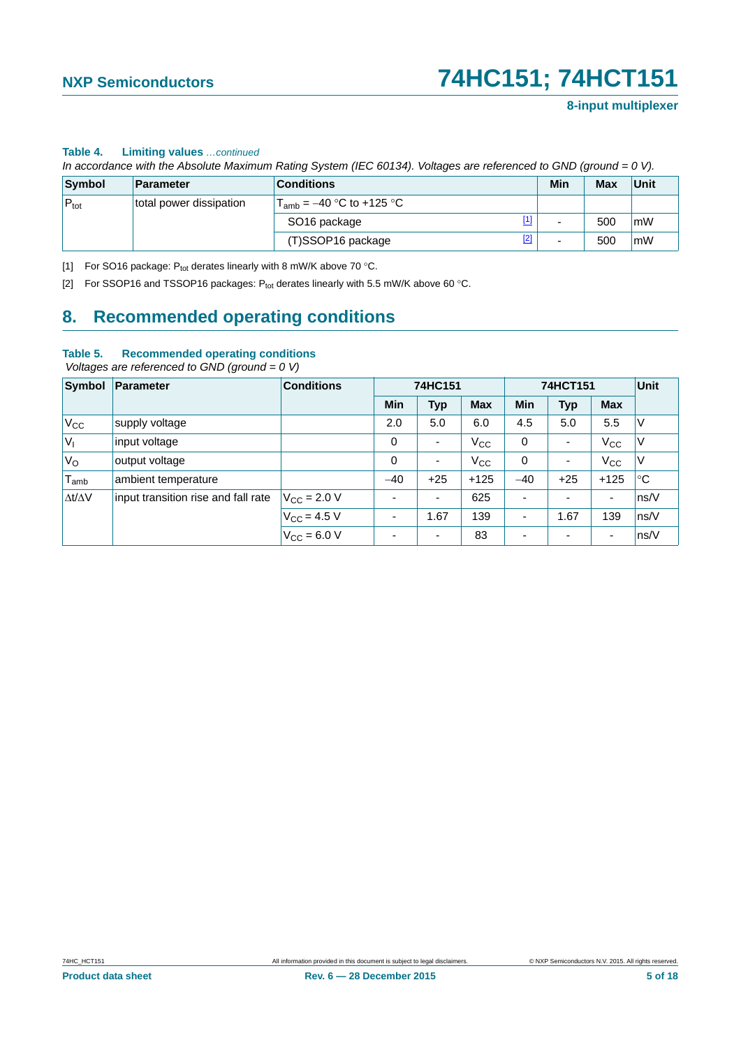#### **Table 4. Limiting values** *…continued*

*In accordance with the Absolute Maximum Rating System (IEC 60134). Voltages are referenced to GND (ground = 0 V).*

| Symbol           | Parameter               | <b>Conditions</b>                       | Min | <b>Max</b> | Unit |
|------------------|-------------------------|-----------------------------------------|-----|------------|------|
| $P_{\text{tot}}$ | total power dissipation | $T_{amb}$ = –40 °C to +125 °C           |     |            |      |
|                  |                         | $\boxed{1}$<br>SO <sub>16</sub> package | -   | 500        | mW   |
|                  |                         | $[2]$<br>(T)SSOP16 package              | -   | 500        | l mW |

<span id="page-4-1"></span>[1] For SO16 package:  $P_{tot}$  derates linearly with 8 mW/K above 70 °C.

<span id="page-4-0"></span>[2] For SSOP16 and TSSOP16 packages:  $P_{tot}$  derates linearly with 5.5 mW/K above 60 °C.

## <span id="page-4-2"></span>**8. Recommended operating conditions**

#### **Table 5. Recommended operating conditions**

 *Voltages are referenced to GND (ground = 0 V)*

| Symbol              | <b>Parameter</b>                    | <b>Conditions</b>    | 74HC151                  |            | 74HCT151     |                          |                          | Unit         |             |
|---------------------|-------------------------------------|----------------------|--------------------------|------------|--------------|--------------------------|--------------------------|--------------|-------------|
|                     |                                     |                      | Min                      | <b>Typ</b> | <b>Max</b>   | <b>Min</b>               | <b>Typ</b>               | <b>Max</b>   |             |
| $V_{\rm CC}$        | supply voltage                      |                      | 2.0                      | 5.0        | 6.0          | 4.5                      | 5.0                      | 5.5          | $\vee$      |
| $ V_1$              | input voltage                       |                      | 0                        | ٠          | $V_{\rm CC}$ | 0                        | $\overline{\phantom{0}}$ | $V_{\rm CC}$ | ΙV          |
| 'V <sub>o</sub>     | output voltage                      |                      | 0                        | ٠          | $V_{\rm CC}$ | 0                        | $\overline{\phantom{0}}$ | $V_{\rm CC}$ | ΙV          |
| $T_{\mathsf{amb}}$  | ambient temperature                 |                      | $-40$                    | $+25$      | $+125$       | $-40$                    | $+25$                    | $+125$       | $^{\circ}C$ |
| $\Delta t/\Delta V$ | input transition rise and fall rate | $V_{\rm CC} = 2.0 V$ | $\overline{\phantom{0}}$ | ٠          | 625          |                          | ٠                        | ٠            | ns/V        |
|                     |                                     | $V_{\rm CC} = 4.5 V$ | ٠                        | .67        | 139          | $\overline{\phantom{0}}$ | 1.67                     | 139          | ns/V        |
|                     |                                     | $V_{CC} = 6.0 V$     | ۰                        | ٠          | 83           |                          | $\overline{\phantom{0}}$ | ٠            | ns/V        |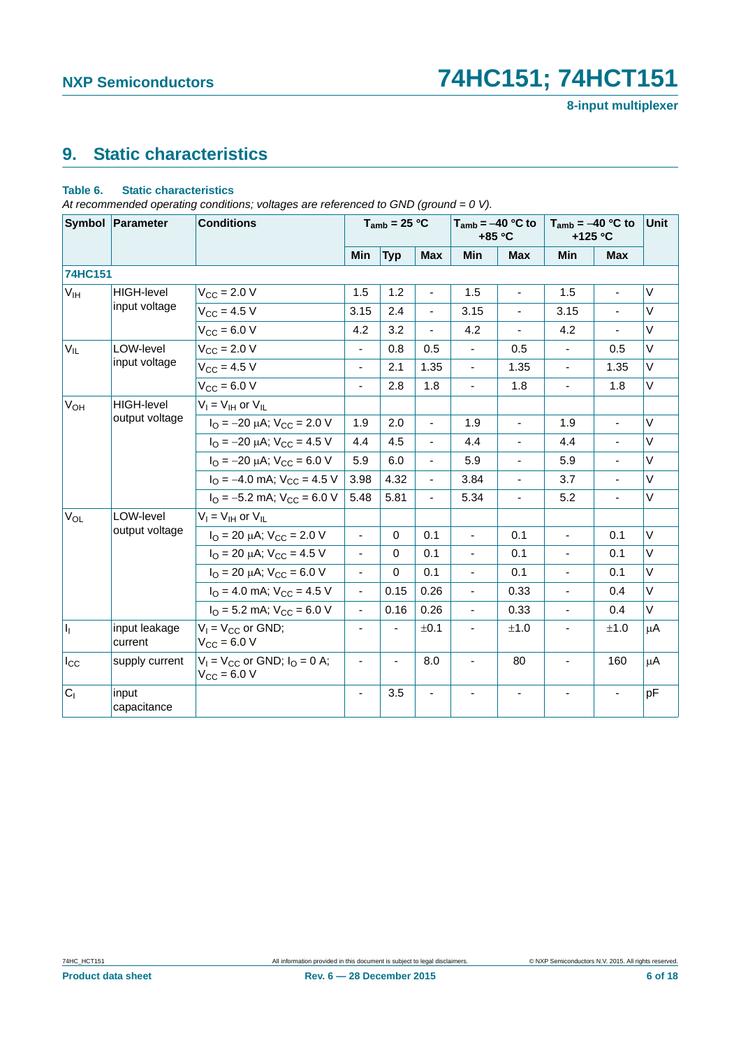# <span id="page-5-0"></span>**9. Static characteristics**

#### **Table 6. Static characteristics**

*At recommended operating conditions; voltages are referenced to GND (ground = 0 V).*

|                   | Symbol Parameter         | <b>Conditions</b>                                                  |                          | $T_{amb}$ = 25 °C        |                | $T_{amb} = -40 °C$ to | +85 °C                   | $T_{amb} = -40 °C$ to<br>+125 °C |                | <b>Unit</b> |
|-------------------|--------------------------|--------------------------------------------------------------------|--------------------------|--------------------------|----------------|-----------------------|--------------------------|----------------------------------|----------------|-------------|
|                   |                          |                                                                    | Min                      | <b>Typ</b>               | <b>Max</b>     | Min                   | <b>Max</b>               | <b>Min</b>                       | <b>Max</b>     |             |
| <b>74HC151</b>    |                          |                                                                    |                          |                          |                |                       |                          |                                  |                |             |
| V <sub>IH</sub>   | <b>HIGH-level</b>        | $V_{CC} = 2.0 V$                                                   | 1.5                      | 1.2                      |                | 1.5                   |                          | 1.5                              |                | $\vee$      |
|                   | input voltage            | $V_{CC} = 4.5 V$                                                   | 3.15                     | 2.4                      | $\overline{a}$ | 3.15                  |                          | 3.15                             |                | $\vee$      |
|                   |                          | $V_{CC} = 6.0 V$                                                   | 4.2                      | 3.2                      | $\omega$       | 4.2                   | $\overline{\phantom{0}}$ | 4.2                              | ä,             | $\vee$      |
| $V_{IL}$          | LOW-level                | $V_{\rm CC} = 2.0 V$                                               | $\blacksquare$           | 0.8                      | 0.5            | $\blacksquare$        | 0.5                      | $\blacksquare$                   | 0.5            | $\vee$      |
|                   | input voltage            | $V_{CC} = 4.5 V$                                                   | ä,                       | 2.1                      | 1.35           | $\blacksquare$        | 1.35                     | $\blacksquare$                   | 1.35           | $\vee$      |
|                   |                          | $V_{CC} = 6.0 V$                                                   | $\blacksquare$           | 2.8                      | 1.8            | $\blacksquare$        | 1.8                      | $\overline{a}$                   | 1.8            | V           |
| $V_{OH}$          | <b>HIGH-level</b>        | $V_I = V_{IH}$ or $V_{IL}$                                         |                          |                          |                |                       |                          |                                  |                |             |
|                   | output voltage           | $I_{\Omega}$ = -20 $\mu$ A; V <sub>CC</sub> = 2.0 V                | 1.9                      | 2.0                      | $\blacksquare$ | 1.9                   | $\overline{\phantom{0}}$ | 1.9                              | $\blacksquare$ | $\vee$      |
|                   |                          | $I_{\text{O}} = -20 \mu\text{A}$ ; $V_{\text{CC}} = 4.5 \text{ V}$ | 4.4                      | 4.5                      | $\blacksquare$ | 4.4                   |                          | 4.4                              |                | $\vee$      |
|                   |                          | $I_{\Omega} = -20 \mu A$ ; $V_{CC} = 6.0 V$                        | 5.9                      | 6.0                      | $\blacksquare$ | 5.9                   | $\overline{a}$           | 5.9                              |                | $\vee$      |
|                   |                          | $I_{\text{O}} = -4.0 \text{ mA}$ ; $V_{\text{CC}} = 4.5 \text{ V}$ | 3.98                     | 4.32                     | $\blacksquare$ | 3.84                  | $\frac{1}{2}$            | 3.7                              | $\blacksquare$ | $\vee$      |
|                   |                          | $I_{\Omega}$ = -5.2 mA; $V_{\text{CC}}$ = 6.0 V                    | 5.48                     | 5.81                     | $\blacksquare$ | 5.34                  | $\overline{\phantom{a}}$ | 5.2                              | $\blacksquare$ | $\vee$      |
| $V_{OL}$          | LOW-level                | $V_I = V_{IH}$ or $V_{IL}$                                         |                          |                          |                |                       |                          |                                  |                |             |
|                   | output voltage           | $I_{\Omega}$ = 20 µA; $V_{\text{CC}}$ = 2.0 V                      | $\blacksquare$           | $\Omega$                 | 0.1            | $\mathbf{r}$          | 0.1                      | $\blacksquare$                   | 0.1            | $\vee$      |
|                   |                          | $I_{\Omega}$ = 20 µA; $V_{\text{CC}}$ = 4.5 V                      | $\blacksquare$           | $\Omega$                 | 0.1            | $\mathbf{r}$          | 0.1                      | $\blacksquare$                   | 0.1            | $\vee$      |
|                   |                          | $I_{\Omega}$ = 20 µA; $V_{CC}$ = 6.0 V                             | $\blacksquare$           | 0                        | 0.1            | $\blacksquare$        | 0.1                      | $\blacksquare$                   | 0.1            | V           |
|                   |                          | $I_{\Omega}$ = 4.0 mA; $V_{\text{CC}}$ = 4.5 V                     | ÷,                       | 0.15                     | 0.26           |                       | 0.33                     |                                  | 0.4            | $\vee$      |
|                   |                          | $I_{\Omega}$ = 5.2 mA; $V_{\text{CC}}$ = 6.0 V                     | $\blacksquare$           | 0.16                     | 0.26           | $\blacksquare$        | 0.33                     | ÷.                               | 0.4            | V           |
| $\vert I_1 \vert$ | input leakage<br>current | $V_1 = V_{CC}$ or GND;<br>$V_{CC}$ = 6.0 V                         | $\blacksquare$           | $\blacksquare$           | ±0.1           | $\blacksquare$        | ±1.0                     | ä,                               | ±1.0           | $\mu$ A     |
| $I_{\rm CC}$      | supply current           | $V_1 = V_{CC}$ or GND; $I_Q = 0$ A;<br>$V_{CC}$ = 6.0 V            | $\overline{\phantom{a}}$ | $\overline{\phantom{a}}$ | 8.0            | $\blacksquare$        | 80                       | $\overline{\phantom{a}}$         | 160            | $\mu$ A     |
| C <sub>1</sub>    | input<br>capacitance     |                                                                    | ä,                       | 3.5                      |                |                       |                          |                                  |                | pF          |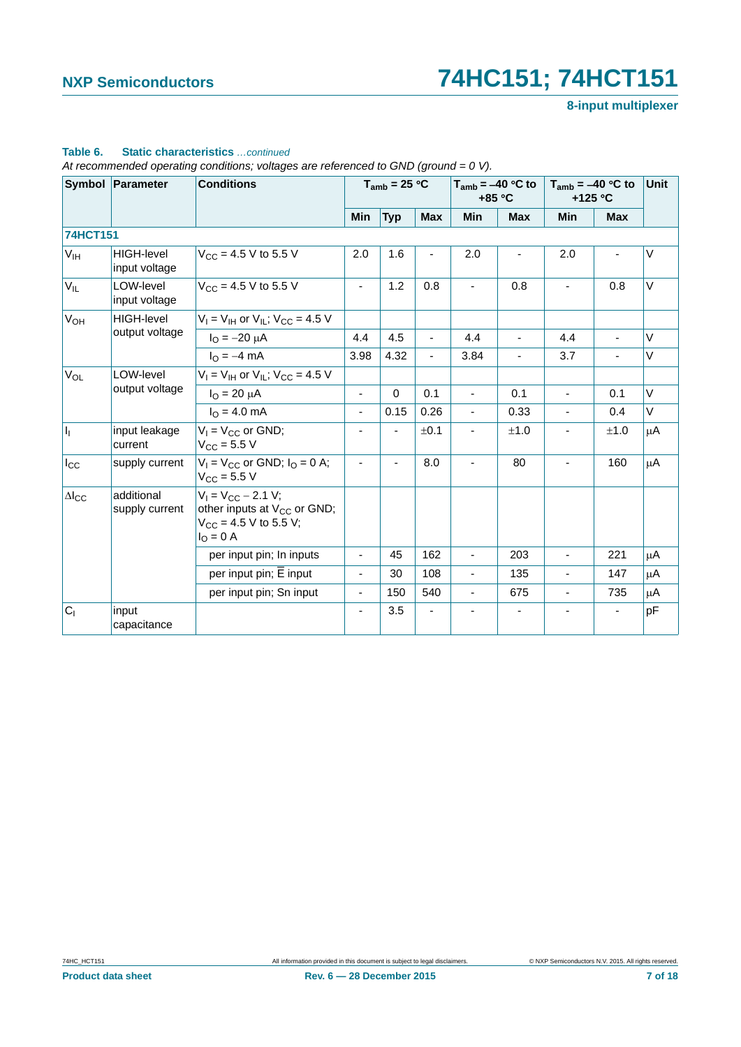### **8-input multiplexer**

| Symbol Parameter              |                                               | <b>Conditions</b>                                                                                              |                          | $T_{amb}$ = 25 °C |                | $T_{amb} = -40$ °C to<br>$+85 °C$ |                          | $T_{amb} = -40$ °C to<br>$+125$ °C |                | <b>Unit</b> |
|-------------------------------|-----------------------------------------------|----------------------------------------------------------------------------------------------------------------|--------------------------|-------------------|----------------|-----------------------------------|--------------------------|------------------------------------|----------------|-------------|
|                               |                                               |                                                                                                                | Min                      | <b>Typ</b>        | <b>Max</b>     | Min                               | <b>Max</b>               | Min                                | <b>Max</b>     |             |
| <b>74HCT151</b>               |                                               |                                                                                                                |                          |                   |                |                                   |                          |                                    |                |             |
| V <sub>IH</sub>               | <b>HIGH-level</b><br>input voltage            | $V_{CC}$ = 4.5 V to 5.5 V                                                                                      | 2.0                      | 1.6               |                | 2.0                               |                          | 2.0                                |                | V           |
| $V_{IL}$                      | LOW-level<br>input voltage                    | $V_{\text{CC}} = 4.5 \text{ V}$ to 5.5 V                                                                       | $\overline{\phantom{a}}$ | 1.2               | 0.8            |                                   | 0.8                      | $\overline{\phantom{m}}$           | 0.8            | V           |
| $V_{OH}$<br><b>HIGH-level</b> | $V_1 = V_{1H}$ or $V_{1I}$ ; $V_{CC} = 4.5$ V |                                                                                                                |                          |                   |                |                                   |                          |                                    |                |             |
|                               | output voltage                                | $I_{\Omega} = -20 \mu A$                                                                                       | 4.4                      | 4.5               | $\blacksquare$ | 4.4                               | $\blacksquare$           | 4.4                                | $\blacksquare$ | $\vee$      |
|                               |                                               | $I_{\Omega} = -4$ mA                                                                                           | 3.98                     | 4.32              | $\blacksquare$ | 3.84                              |                          | 3.7                                |                | $\vee$      |
| $V_{OL}$                      | LOW-level                                     | $V_1 = V_{1H}$ or $V_{1L}$ ; $V_{CC} = 4.5$ V                                                                  |                          |                   |                |                                   |                          |                                    |                |             |
|                               | output voltage                                | $I_{\Omega} = 20 \mu A$                                                                                        | $\blacksquare$           | $\Omega$          | 0.1            |                                   | 0.1                      | ä,                                 | 0.1            | $\vee$      |
|                               |                                               | $I_{\Omega} = 4.0$ mA                                                                                          | $\overline{\phantom{a}}$ | 0.15              | 0.26           |                                   | 0.33                     | $\blacksquare$                     | 0.4            | $\vee$      |
| h                             | input leakage<br>current                      | $V_1 = V_{CC}$ or GND;<br>$V_{\rm CC} = 5.5 V$                                                                 | $\blacksquare$           |                   | ±0.1           |                                   | ±1.0                     |                                    | ±1.0           | μA          |
| $I_{\rm CC}$                  | supply current                                | $V_1 = V_{CC}$ or GND; $I_Q = 0$ A;<br>$V_{CC}$ = 5.5 V                                                        | $\overline{\phantom{a}}$ | ÷,                | 8.0            |                                   | 80                       |                                    | 160            | μA          |
| $\Delta$ <sub>cc</sub>        | additional<br>supply current                  | $V_1 = V_{CC} - 2.1 V;$<br>other inputs at V <sub>CC</sub> or GND;<br>$V_{CC}$ = 4.5 V to 5.5 V;<br>$IO = 0$ A |                          |                   |                |                                   |                          |                                    |                |             |
|                               |                                               | per input pin; In inputs                                                                                       | $\blacksquare$           | 45                | 162            | $\blacksquare$                    | 203                      | $\blacksquare$                     | 221            | μA          |
|                               |                                               | per input pin; E input                                                                                         | $\blacksquare$           | 30                | 108            | $\overline{\phantom{0}}$          | 135                      | ä,                                 | 147            | μA          |
|                               |                                               | per input pin; Sn input                                                                                        | $\blacksquare$           | 150               | 540            | $\blacksquare$                    | 675                      | ÷,                                 | 735            | μA          |
| C <sub>1</sub>                | input<br>capacitance                          |                                                                                                                | $\blacksquare$           | 3.5               |                |                                   | $\overline{\phantom{a}}$ |                                    |                | pF          |

#### **Table 6. Static characteristics** *…continued*

*At recommended operating conditions; voltages are referenced to GND (ground = 0 V).*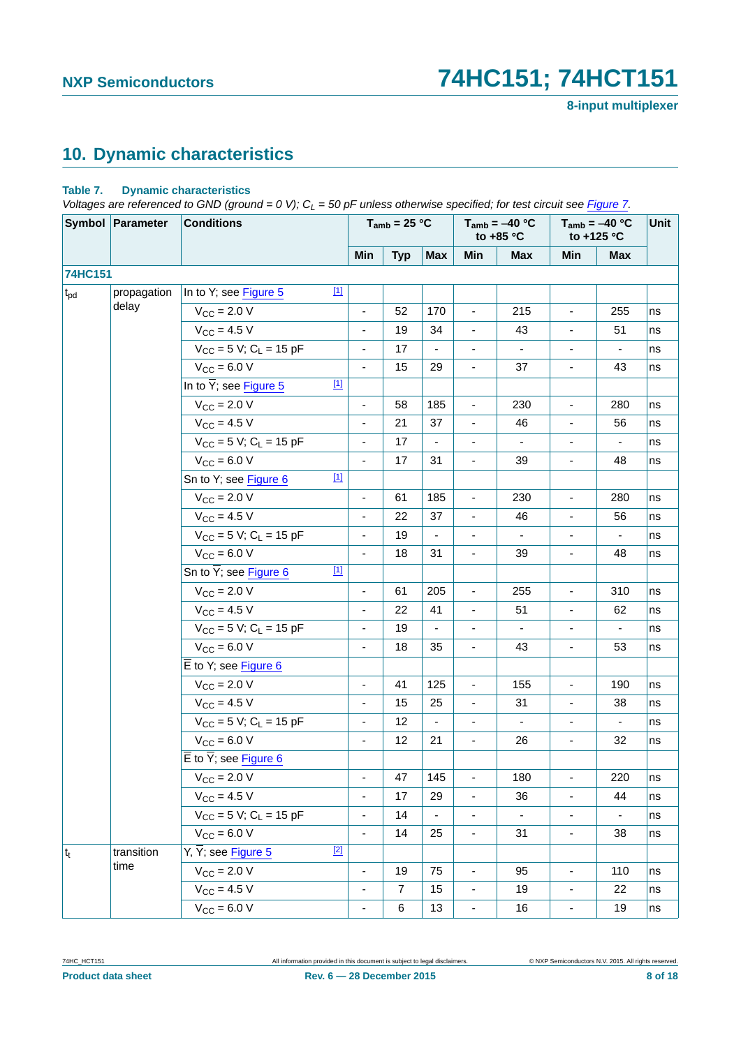**8-input multiplexer**

# <span id="page-7-1"></span>**10. Dynamic characteristics**

#### <span id="page-7-0"></span>**Table 7. Dynamic characteristics**

*Voltages are referenced to GND (ground = 0 V); C<sub>L</sub> = 50 pF unless otherwise specified; for test circuit see [Figure 7.](#page-10-0)* 

|              | Symbol Parameter | <b>Conditions</b>                               |                          | $T_{amb}$ = 25 °C |                          |                          | $T_{amb} = -40 °C$<br>to $+85$ °C |                          | $T_{amb} = -40 °C$<br>to +125 °C | Unit |
|--------------|------------------|-------------------------------------------------|--------------------------|-------------------|--------------------------|--------------------------|-----------------------------------|--------------------------|----------------------------------|------|
|              |                  |                                                 | Min                      | <b>Typ</b>        | <b>Max</b>               | Min                      | <b>Max</b>                        | Min                      | <b>Max</b>                       |      |
| 74HC151      |                  |                                                 |                          |                   |                          |                          |                                   |                          |                                  |      |
| $t_{\rm pd}$ | propagation      | $[1]$<br>In to Y; see Figure 5                  |                          |                   |                          |                          |                                   |                          |                                  |      |
|              | delay            | $V_{\text{CC}} = 2.0 V$                         |                          | 52                | 170                      | $\frac{1}{2}$            | 215                               | $\overline{\phantom{a}}$ | 255                              | ns   |
|              |                  | $V_{\text{CC}} = 4.5 V$                         |                          | 19                | 34                       |                          | 43                                |                          | 51                               | ns   |
|              |                  | $V_{CC}$ = 5 V; C <sub>L</sub> = 15 pF          | $\overline{\phantom{a}}$ | 17                | $\blacksquare$           | $\overline{\phantom{a}}$ | $\blacksquare$                    | $\overline{\phantom{a}}$ | $\overline{\phantom{a}}$         | ns   |
|              |                  | $V_{CC}$ = 6.0 V                                |                          | 15                | 29                       |                          | 37                                |                          | 43                               | ns   |
|              |                  | In to $\overline{Y}$ ; see Figure 5<br>$[1]$    |                          |                   |                          |                          |                                   |                          |                                  |      |
|              |                  | $V_{\text{CC}} = 2.0 V$                         |                          | 58                | 185                      |                          | 230                               |                          | 280                              | ns   |
|              |                  | $V_{\rm CC} = 4.5 V$                            | $\overline{\phantom{a}}$ | 21                | 37                       | $\overline{\phantom{a}}$ | 46                                | $\overline{\phantom{a}}$ | 56                               | ns   |
|              |                  | $V_{CC}$ = 5 V; C <sub>L</sub> = 15 pF          |                          | 17                |                          |                          |                                   |                          |                                  | ns   |
|              |                  | $V_{CC} = 6.0 V$                                |                          | 17                | 31                       | $\overline{\phantom{a}}$ | 39                                | $\overline{\phantom{a}}$ | 48                               | ns   |
|              |                  | $[1]$<br>Sn to Y; see Figure 6                  |                          |                   |                          |                          |                                   |                          |                                  |      |
|              |                  | $V_{\text{CC}} = 2.0 V$                         | $\overline{\phantom{a}}$ | 61                | 185                      | $\overline{\phantom{a}}$ | 230                               | $\blacksquare$           | 280                              | ns   |
|              |                  | $V_{CC}$ = 4.5 V                                |                          | 22                | 37                       |                          | 46                                |                          | 56                               | ns   |
|              |                  | $V_{CC}$ = 5 V; C <sub>L</sub> = 15 pF          |                          | 19                | $\overline{\phantom{a}}$ |                          | $\sim$                            |                          | $\overline{\phantom{a}}$         | ns   |
|              |                  | $V_{CC} = 6.0 V$                                |                          | 18                | 31                       |                          | 39                                |                          | 48                               | ns   |
|              |                  | Sn to $\overline{Y}$ ; see Figure 6<br>$[1]$    |                          |                   |                          |                          |                                   |                          |                                  |      |
|              |                  | $V_{\text{CC}} = 2.0 V$                         |                          | 61                | 205                      |                          | 255                               |                          | 310                              | ns   |
|              |                  | $V_{\text{CC}} = 4.5 V$                         | $\overline{\phantom{a}}$ | 22                | 41                       | $\overline{\phantom{a}}$ | 51                                | $\overline{\phantom{a}}$ | 62                               | ns   |
|              |                  | $V_{CC}$ = 5 V; C <sub>L</sub> = 15 pF          |                          | 19                |                          |                          |                                   |                          |                                  | ns   |
|              |                  | $V_{CC} = 6.0 V$                                | $\overline{\phantom{a}}$ | 18                | 35                       | $\overline{\phantom{a}}$ | 43                                | $\overline{\phantom{a}}$ | 53                               | ns   |
|              |                  | $\overline{E}$ to Y; see Figure 6               |                          |                   |                          |                          |                                   |                          |                                  |      |
|              |                  | $V_{\text{CC}} = 2.0 V$                         | $\overline{\phantom{a}}$ | 41                | 125                      | $\overline{\phantom{a}}$ | 155                               | $\overline{\phantom{a}}$ | 190                              | ns   |
|              |                  | $V_{\text{CC}} = 4.5 V$                         | $\overline{\phantom{a}}$ | 15                | 25                       | $\overline{\phantom{a}}$ | 31                                |                          | 38                               | ns   |
|              |                  | $V_{CC}$ = 5 V; C <sub>L</sub> = 15 pF          | $\overline{\phantom{a}}$ | 12                | $\blacksquare$           | $\overline{\phantom{a}}$ | $\blacksquare$                    | $\overline{\phantom{a}}$ | $\blacksquare$                   | ns   |
|              |                  | $V_{CC} = 6.0 V$                                |                          | 12                | 21                       |                          | 26                                |                          | 32                               | ns   |
|              |                  | $\overline{E}$ to $\overline{Y}$ ; see Figure 6 |                          |                   |                          |                          |                                   |                          |                                  |      |
|              |                  | $V_{CC}$ = 2.0 V                                |                          | 47                | 145                      |                          | 180                               |                          | 220                              | ns   |
|              |                  | $V_{CC}$ = 4.5 V                                |                          | 17                | 29                       |                          | 36                                |                          | 44                               | ns   |
|              |                  | $V_{CC} = 5 V$ ; C <sub>L</sub> = 15 pF         | ÷,                       | 14                | $\blacksquare$           |                          |                                   |                          | $\overline{\phantom{a}}$         | ns   |
|              |                  | $V_{CC} = 6.0 V$                                | $\overline{\phantom{a}}$ | 14                | 25                       | $\overline{\phantom{0}}$ | 31                                | $\blacksquare$           | 38                               | ns   |
| $ t_t $      | transition       | Y, $\overline{Y}$ ; see Figure 5<br>$[2]$       |                          |                   |                          |                          |                                   |                          |                                  |      |
|              | time             | $V_{CC} = 2.0 V$                                | $\overline{\phantom{a}}$ | 19                | 75                       | $\overline{\phantom{0}}$ | 95                                | $\overline{\phantom{a}}$ | 110                              | ns   |
|              |                  | $V_{CC}$ = 4.5 V                                |                          | $\overline{7}$    | 15                       |                          | 19                                |                          | 22                               | ns   |
|              |                  | $V_{CC}$ = 6.0 V                                |                          | $\,6\,$           | 13                       | $\overline{\phantom{0}}$ | 16                                | $\overline{\phantom{0}}$ | 19                               | ns   |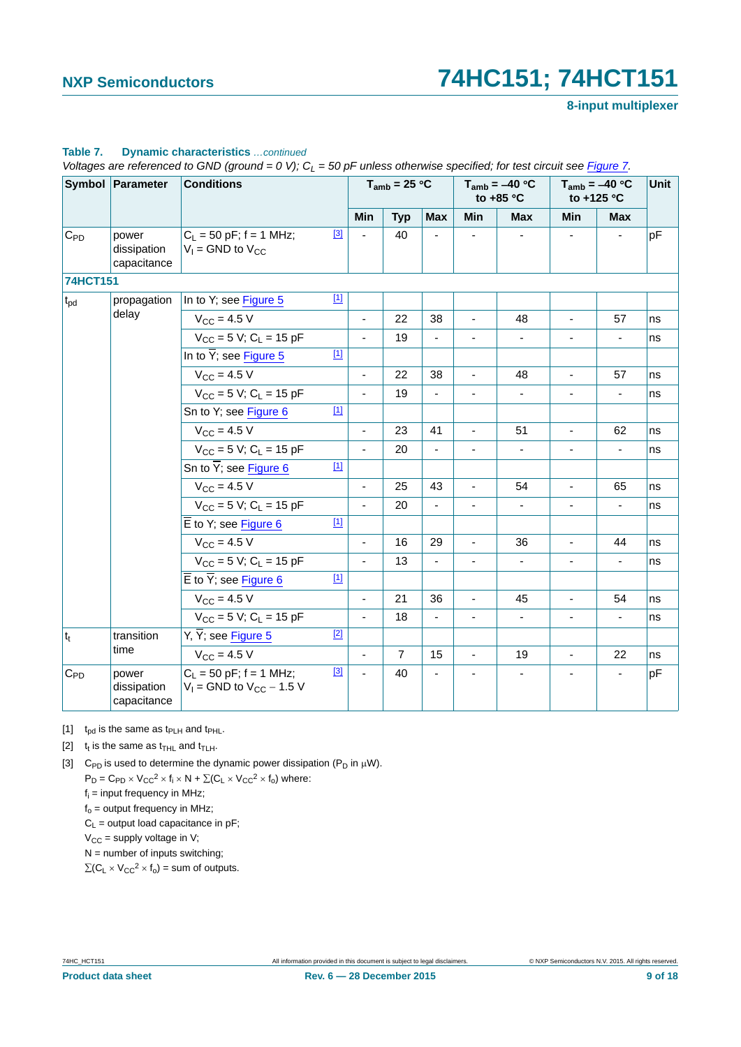|                   | <b>Symbol Parameter</b>             | <b>Conditions</b>                                            |             |                          | $T_{amb}$ = 25 °C |                          |                          | $T_{amb} = -40 °C$<br>to $+85$ °C | $T_{amb} = -40 °C$<br>to +125 °C |                          | Unit |
|-------------------|-------------------------------------|--------------------------------------------------------------|-------------|--------------------------|-------------------|--------------------------|--------------------------|-----------------------------------|----------------------------------|--------------------------|------|
|                   |                                     |                                                              |             | Min                      | <b>Typ</b>        | <b>Max</b>               | <b>Min</b>               | <b>Max</b>                        | <b>Min</b>                       | <b>Max</b>               |      |
| $C_{\mathsf{PD}}$ | power<br>dissipation<br>capacitance | $C_L$ = 50 pF; f = 1 MHz;<br>$V_1$ = GND to $V_{CC}$         | $[3]$       |                          | 40                |                          |                          |                                   |                                  |                          | pF   |
| 74HCT151          |                                     |                                                              |             |                          |                   |                          |                          |                                   |                                  |                          |      |
| $t_{pd}$          | propagation                         | In to Y; see Figure 5                                        | $[1]$       |                          |                   |                          |                          |                                   |                                  |                          |      |
|                   | delay                               | $V_{\rm CC} = 4.5 V$                                         |             |                          | 22                | 38                       |                          | 48                                |                                  | 57                       | ns   |
|                   |                                     | $V_{CC}$ = 5 V; C <sub>L</sub> = 15 pF                       |             |                          | 19                | $\blacksquare$           | $\blacksquare$           | $\blacksquare$                    | $\overline{\phantom{a}}$         | $\overline{\phantom{a}}$ | ns   |
|                   |                                     | In to $\overline{Y}$ ; see Figure 5                          | $[1]$       |                          |                   |                          |                          |                                   |                                  |                          |      |
|                   |                                     | $V_{\rm CC} = 4.5 V$                                         |             | $\sim$                   | 22                | 38                       | $\blacksquare$           | 48                                | $\blacksquare$                   | 57                       | ns   |
|                   |                                     | $V_{CC}$ = 5 V; C <sub>L</sub> = 15 pF                       |             |                          | 19                |                          |                          |                                   |                                  |                          | ns   |
|                   |                                     | Sn to Y; see Figure 6                                        | $[1]$       |                          |                   |                          |                          |                                   |                                  |                          |      |
|                   |                                     | $V_{\rm CC} = 4.5 V$                                         |             | $\blacksquare$           | 23                | 41                       | ÷,                       | 51                                | $\blacksquare$                   | 62                       | ns   |
|                   |                                     | $V_{CC}$ = 5 V; C <sub>L</sub> = 15 pF                       |             |                          | 20                |                          |                          |                                   |                                  |                          | ns   |
|                   |                                     | Sn to $\overline{Y}$ ; see Figure 6                          | $[1]$       |                          |                   |                          |                          |                                   |                                  |                          |      |
|                   |                                     | $V_{\rm CC} = 4.5 V$                                         |             |                          | 25                | 43                       |                          | 54                                |                                  | 65                       | ns   |
|                   |                                     | $V_{CC}$ = 5 V; C <sub>L</sub> = 15 pF                       |             |                          | 20                |                          |                          |                                   |                                  | $\overline{a}$           | ns   |
|                   |                                     | $\overline{E}$ to Y; see Figure 6                            | $[1]$       |                          |                   |                          |                          |                                   |                                  |                          |      |
|                   |                                     | $V_{\rm CC}$ = 4.5 V                                         |             |                          | 16                | 29                       |                          | 36                                |                                  | 44                       | ns   |
|                   |                                     | $V_{CC}$ = 5 V; C <sub>1</sub> = 15 pF                       |             | $\blacksquare$           | 13                | $\overline{\phantom{a}}$ | $\overline{\phantom{a}}$ | $\overline{\phantom{0}}$          | $\overline{\phantom{a}}$         | $\blacksquare$           | ns   |
|                   |                                     | $\overline{E}$ to $\overline{Y}$ ; see Figure 6              | $\boxed{1}$ |                          |                   |                          |                          |                                   |                                  |                          |      |
|                   |                                     | $V_{CC} = 4.5 V$                                             |             | $\overline{\phantom{a}}$ | 21                | 36                       | ä,                       | 45                                | ä,                               | 54                       | ns   |
|                   |                                     | $V_{CC}$ = 5 V; C <sub>L</sub> = 15 pF                       |             | $\sim$                   | 18                | ÷,                       | $\overline{\phantom{a}}$ | $\overline{\phantom{a}}$          | $\overline{\phantom{a}}$         | $\blacksquare$           | ns   |
| $ t_t $           | transition                          | $Y, \overline{Y}$ ; see Figure 5                             | $[2]$       |                          |                   |                          |                          |                                   |                                  |                          |      |
|                   | time                                | $V_{\rm CC} = 4.5 V$                                         |             |                          | $\overline{7}$    | 15                       | ä,                       | 19                                | $\blacksquare$                   | 22                       | ns   |
| $C_{PD}$          | power<br>dissipation<br>capacitance | $C_1 = 50$ pF; f = 1 MHz;<br>$V_1$ = GND to $V_{CC}$ – 1.5 V | $[3]$       |                          | 40                |                          |                          |                                   |                                  |                          | pF   |

#### **Table 7. Dynamic characteristics** *…continued*

*Voltages are referenced to GND (ground = 0 V); C<sub>L</sub> = 50 pF unless otherwise specified; for test circuit see Figure 7.* 

<span id="page-8-0"></span>[1]  $t_{\text{nd}}$  is the same as  $t_{\text{PI H}}$  and  $t_{\text{PHL}}$ .

<span id="page-8-1"></span>[2]  $t_t$  is the same as  $t_{THL}$  and  $t_{TLH}$ .

<span id="page-8-2"></span>[3] C<sub>PD</sub> is used to determine the dynamic power dissipation (P<sub>D</sub> in  $\mu$ W).  $P_D = C_{PD} \times V_{CC}^2 \times f_i \times N + \Sigma (C_L \times V_{CC}^2 \times f_o)$  where:

 $f_i$  = input frequency in MHz;

 $f_0$  = output frequency in MHz;

 $C_L$  = output load capacitance in pF;

 $V_{CC}$  = supply voltage in V;

 $N =$  number of inputs switching;

 $\Sigma(C_L \times V_{CC}^2 \times f_0)$  = sum of outputs.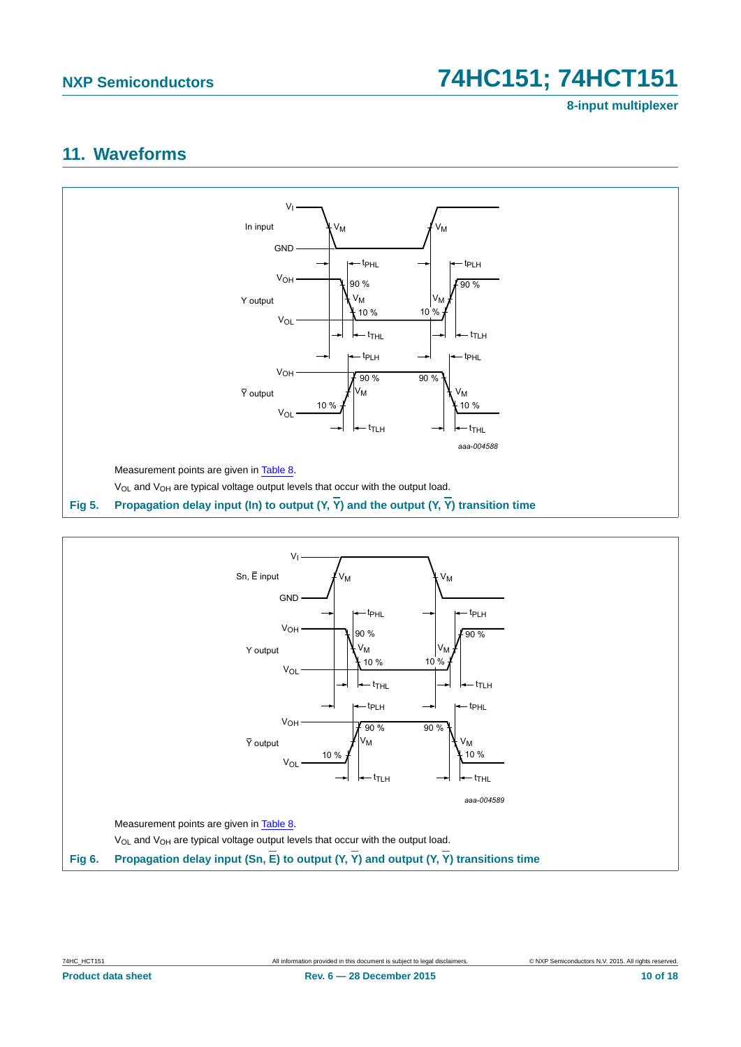**8-input multiplexer**

### <span id="page-9-2"></span>**11. Waveforms**



<span id="page-9-0"></span>

<span id="page-9-1"></span>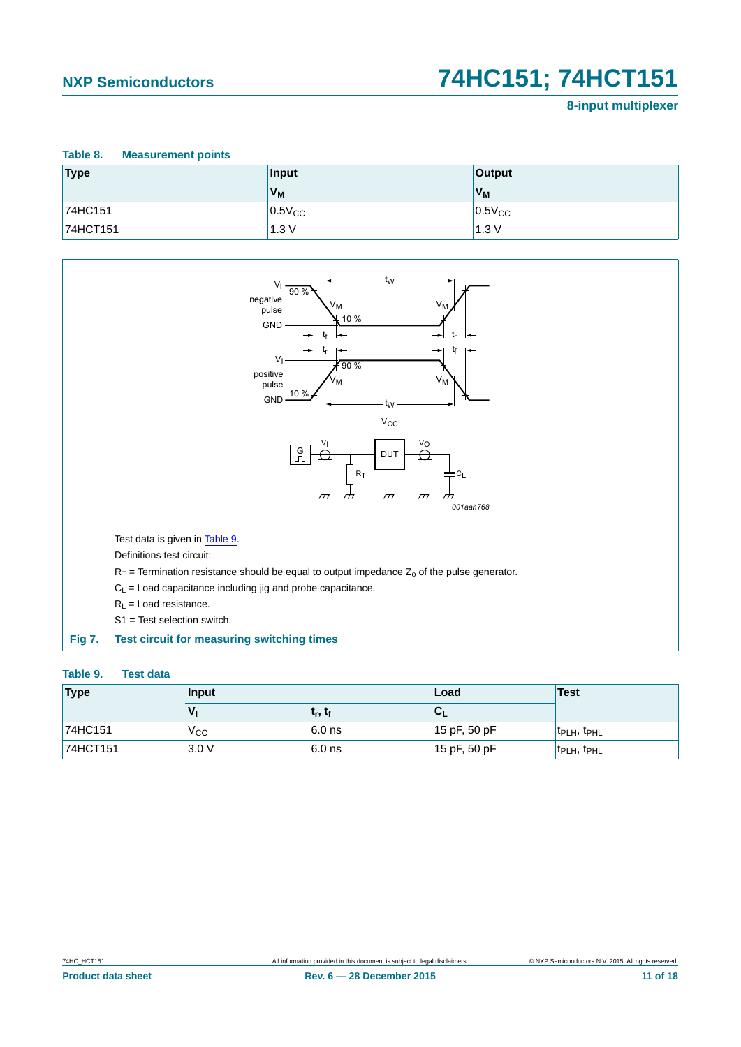#### **8-input multiplexer**

### <span id="page-10-1"></span>**Table 8. Measurement points Type Input Output**  $V_M$  **V**<sub>M</sub> 74HC151  $\vert 0.5$ V $\vert$ CC $\vert$ **74HCT151** 1.3 V 1.3 V 1.3 V



<span id="page-10-2"></span><span id="page-10-0"></span>

| Type     | Input    |            | Load            | <b>Test</b>                         |
|----------|----------|------------|-----------------|-------------------------------------|
|          |          | $t_r, t_f$ | '∪∟             |                                     |
| 74HC151  | $V_{CC}$ | $6.0$ ns   | $15$ pF, 50 pF  | t <sub>PLH</sub> , t <sub>PHL</sub> |
| 74HCT151 | 3.0V     | $6.0$ ns   | $ 15$ pF, 50 pF | $t_{\text{PLH}}$ , $t_{\text{PHL}}$ |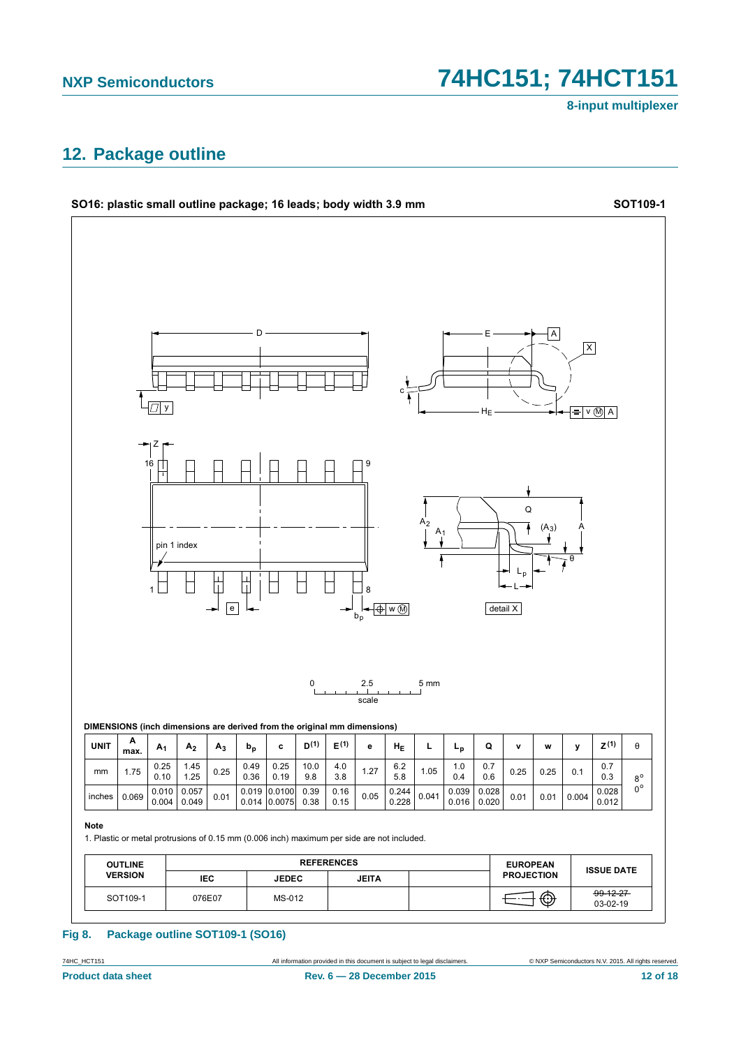8-input multiplexer

## <span id="page-11-0"></span>12. Package outline



#### Fig 8. Package outline SOT109-1 (SO16)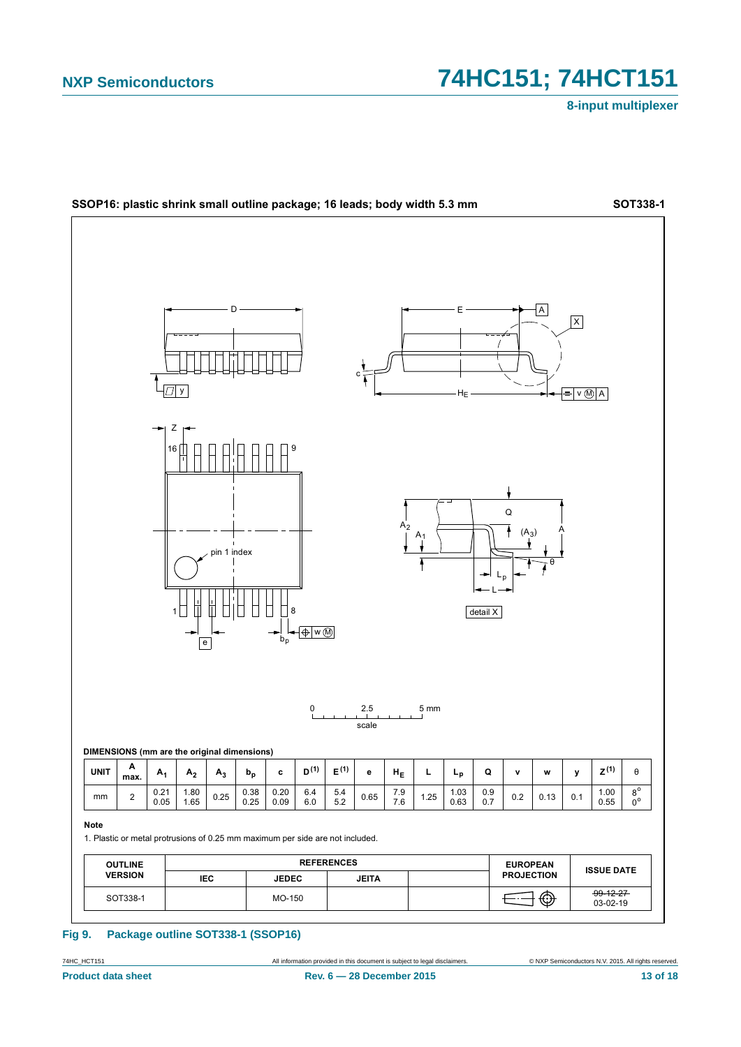8-input multiplexer



#### **Fig 9.** Package outline SOT338-1 (SSOP16)

74HC\_HCT151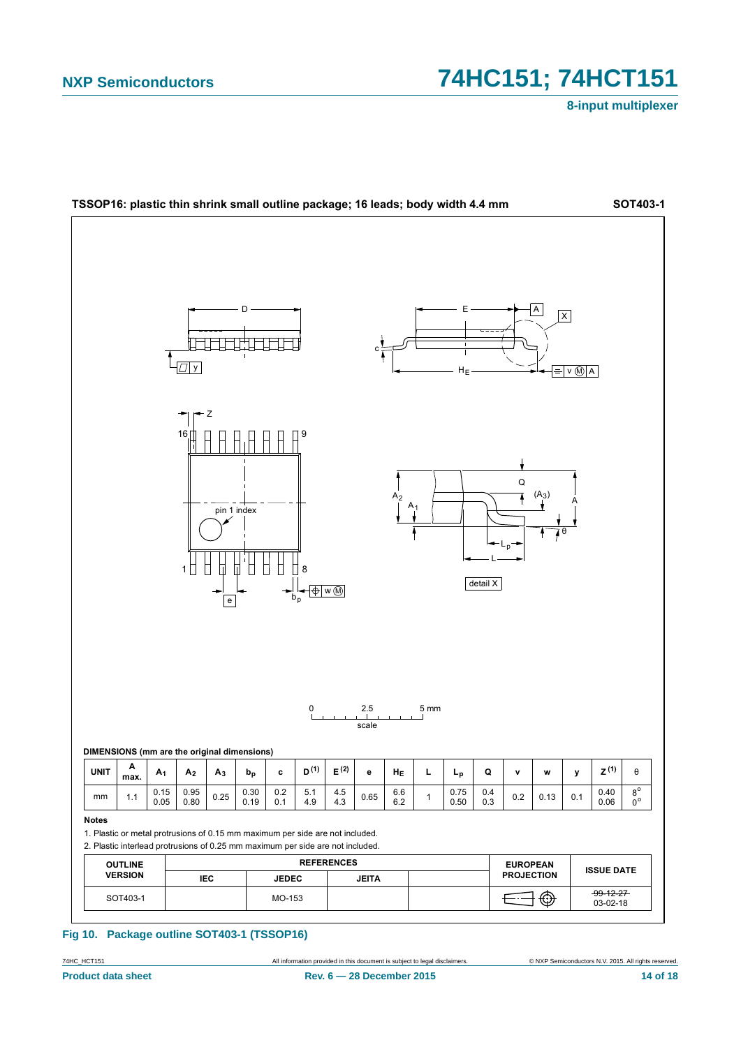8-input multiplexer



#### Fig 10. Package outline SOT403-1 (TSSOP16)

74HC\_HCT151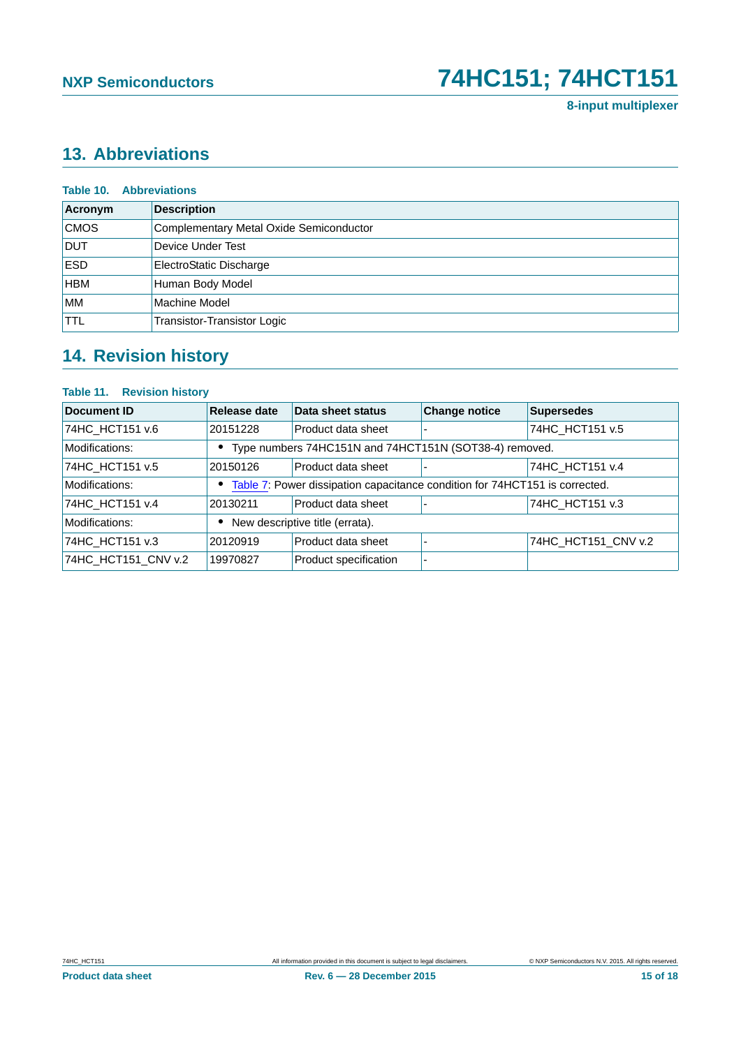# <span id="page-14-0"></span>**13. Abbreviations**

| <b>Table 10. Abbreviations</b> |                                         |  |  |
|--------------------------------|-----------------------------------------|--|--|
| Acronym                        | <b>Description</b>                      |  |  |
| <b>CMOS</b>                    | Complementary Metal Oxide Semiconductor |  |  |
| <b>DUT</b>                     | Device Under Test                       |  |  |
| <b>ESD</b>                     | ElectroStatic Discharge                 |  |  |
| <b>HBM</b>                     | Human Body Model                        |  |  |
| <b>MM</b>                      | Machine Model                           |  |  |
| <b>TTL</b>                     | Transistor-Transistor Logic             |  |  |

# <span id="page-14-1"></span>**14. Revision history**

#### **Table 11. Revision history**

| <b>Document ID</b>  | Release date | Data sheet status                                                             | <b>Change notice</b> | <b>Supersedes</b>   |
|---------------------|--------------|-------------------------------------------------------------------------------|----------------------|---------------------|
| 74HC_HCT151 v.6     | 20151228     | Product data sheet                                                            |                      | 74HC_HCT151 v.5     |
| Modifications:      |              | • Type numbers 74HC151N and 74HCT151N (SOT38-4) removed.                      |                      |                     |
| 74HC HCT151 v.5     | 20150126     | Product data sheet                                                            |                      | 74HC HCT151 v.4     |
| Modifications:      |              | • Table 7: Power dissipation capacitance condition for 74HCT151 is corrected. |                      |                     |
| 74HC HCT151 v.4     | 20130211     | Product data sheet                                                            |                      | 74HC HCT151 v.3     |
| Modifications:      |              | New descriptive title (errata).                                               |                      |                     |
| 74HC HCT151 v.3     | 20120919     | Product data sheet                                                            |                      | 74HC_HCT151_CNV v.2 |
| 74HC HCT151 CNV v.2 | 19970827     | Product specification                                                         |                      |                     |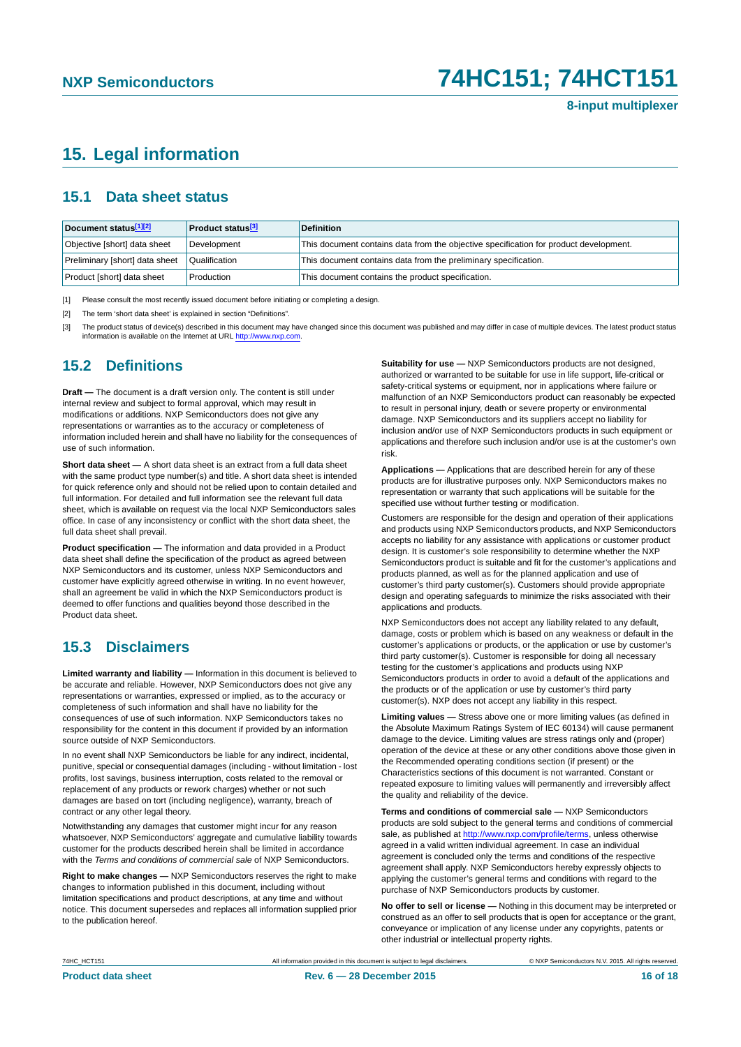## <span id="page-15-3"></span>**15. Legal information**

### <span id="page-15-4"></span>**15.1 Data sheet status**

| Document status[1][2]          | <b>Product status</b> <sup>[3]</sup> | <b>Definition</b>                                                                     |
|--------------------------------|--------------------------------------|---------------------------------------------------------------------------------------|
| Objective [short] data sheet   | Development                          | This document contains data from the objective specification for product development. |
| Preliminary [short] data sheet | Qualification                        | This document contains data from the preliminary specification.                       |
| Product [short] data sheet     | Production                           | This document contains the product specification.                                     |

<span id="page-15-0"></span>[1] Please consult the most recently issued document before initiating or completing a design.

<span id="page-15-1"></span>[2] The term 'short data sheet' is explained in section "Definitions".

<span id="page-15-2"></span>[3] The product status of device(s) described in this document may have changed since this document was published and may differ in case of multiple devices. The latest product status<br>information is available on the Intern

### <span id="page-15-5"></span>**15.2 Definitions**

**Draft —** The document is a draft version only. The content is still under internal review and subject to formal approval, which may result in modifications or additions. NXP Semiconductors does not give any representations or warranties as to the accuracy or completeness of information included herein and shall have no liability for the consequences of use of such information.

**Short data sheet —** A short data sheet is an extract from a full data sheet with the same product type number(s) and title. A short data sheet is intended for quick reference only and should not be relied upon to contain detailed and full information. For detailed and full information see the relevant full data sheet, which is available on request via the local NXP Semiconductors sales office. In case of any inconsistency or conflict with the short data sheet, the full data sheet shall prevail.

**Product specification —** The information and data provided in a Product data sheet shall define the specification of the product as agreed between NXP Semiconductors and its customer, unless NXP Semiconductors and customer have explicitly agreed otherwise in writing. In no event however, shall an agreement be valid in which the NXP Semiconductors product is deemed to offer functions and qualities beyond those described in the Product data sheet.

### <span id="page-15-6"></span>**15.3 Disclaimers**

**Limited warranty and liability —** Information in this document is believed to be accurate and reliable. However, NXP Semiconductors does not give any representations or warranties, expressed or implied, as to the accuracy or completeness of such information and shall have no liability for the consequences of use of such information. NXP Semiconductors takes no responsibility for the content in this document if provided by an information source outside of NXP Semiconductors.

In no event shall NXP Semiconductors be liable for any indirect, incidental, punitive, special or consequential damages (including - without limitation - lost profits, lost savings, business interruption, costs related to the removal or replacement of any products or rework charges) whether or not such damages are based on tort (including negligence), warranty, breach of contract or any other legal theory.

Notwithstanding any damages that customer might incur for any reason whatsoever, NXP Semiconductors' aggregate and cumulative liability towards customer for the products described herein shall be limited in accordance with the *Terms and conditions of commercial sale* of NXP Semiconductors.

**Right to make changes —** NXP Semiconductors reserves the right to make changes to information published in this document, including without limitation specifications and product descriptions, at any time and without notice. This document supersedes and replaces all information supplied prior to the publication hereof.

**Suitability for use —** NXP Semiconductors products are not designed, authorized or warranted to be suitable for use in life support, life-critical or safety-critical systems or equipment, nor in applications where failure or malfunction of an NXP Semiconductors product can reasonably be expected to result in personal injury, death or severe property or environmental damage. NXP Semiconductors and its suppliers accept no liability for inclusion and/or use of NXP Semiconductors products in such equipment or applications and therefore such inclusion and/or use is at the customer's own risk.

**Applications —** Applications that are described herein for any of these products are for illustrative purposes only. NXP Semiconductors makes no representation or warranty that such applications will be suitable for the specified use without further testing or modification.

Customers are responsible for the design and operation of their applications and products using NXP Semiconductors products, and NXP Semiconductors accepts no liability for any assistance with applications or customer product design. It is customer's sole responsibility to determine whether the NXP Semiconductors product is suitable and fit for the customer's applications and products planned, as well as for the planned application and use of customer's third party customer(s). Customers should provide appropriate design and operating safeguards to minimize the risks associated with their applications and products.

NXP Semiconductors does not accept any liability related to any default, damage, costs or problem which is based on any weakness or default in the customer's applications or products, or the application or use by customer's third party customer(s). Customer is responsible for doing all necessary testing for the customer's applications and products using NXP Semiconductors products in order to avoid a default of the applications and the products or of the application or use by customer's third party customer(s). NXP does not accept any liability in this respect.

**Limiting values —** Stress above one or more limiting values (as defined in the Absolute Maximum Ratings System of IEC 60134) will cause permanent damage to the device. Limiting values are stress ratings only and (proper) operation of the device at these or any other conditions above those given in the Recommended operating conditions section (if present) or the Characteristics sections of this document is not warranted. Constant or repeated exposure to limiting values will permanently and irreversibly affect the quality and reliability of the device.

**Terms and conditions of commercial sale —** NXP Semiconductors products are sold subject to the general terms and conditions of commercial sale, as published at<http://www.nxp.com/profile/terms>, unless otherwise agreed in a valid written individual agreement. In case an individual agreement is concluded only the terms and conditions of the respective agreement shall apply. NXP Semiconductors hereby expressly objects to applying the customer's general terms and conditions with regard to the purchase of NXP Semiconductors products by customer.

**No offer to sell or license —** Nothing in this document may be interpreted or construed as an offer to sell products that is open for acceptance or the grant, conveyance or implication of any license under any copyrights, patents or other industrial or intellectual property rights.

74HC\_HCT151 All information provided in this document is subject to legal disclaimers. © NXP Semiconductors N.V. 2015. All rights reserved.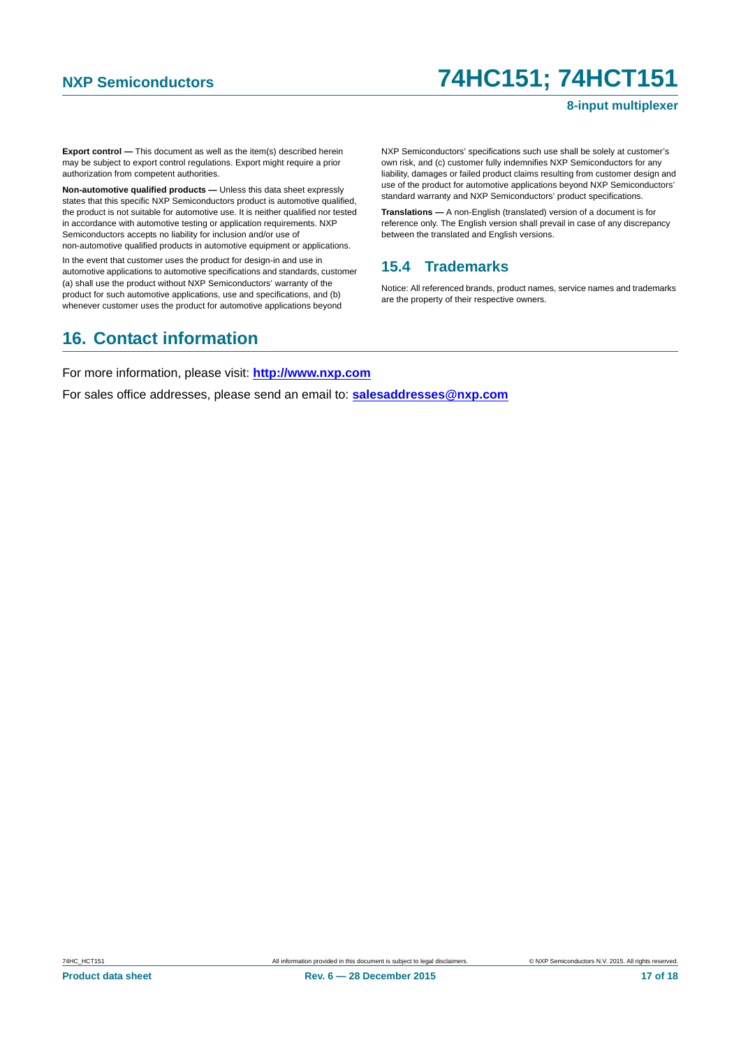#### **8-input multiplexer**

**Export control —** This document as well as the item(s) described herein may be subject to export control regulations. Export might require a prior authorization from competent authorities.

**Non-automotive qualified products —** Unless this data sheet expressly states that this specific NXP Semiconductors product is automotive qualified, the product is not suitable for automotive use. It is neither qualified nor tested in accordance with automotive testing or application requirements. NXP Semiconductors accepts no liability for inclusion and/or use of non-automotive qualified products in automotive equipment or applications.

In the event that customer uses the product for design-in and use in automotive applications to automotive specifications and standards, customer (a) shall use the product without NXP Semiconductors' warranty of the product for such automotive applications, use and specifications, and (b) whenever customer uses the product for automotive applications beyond

NXP Semiconductors' specifications such use shall be solely at customer's own risk, and (c) customer fully indemnifies NXP Semiconductors for any liability, damages or failed product claims resulting from customer design and use of the product for automotive applications beyond NXP Semiconductors' standard warranty and NXP Semiconductors' product specifications.

**Translations —** A non-English (translated) version of a document is for reference only. The English version shall prevail in case of any discrepancy between the translated and English versions.

### <span id="page-16-0"></span>**15.4 Trademarks**

Notice: All referenced brands, product names, service names and trademarks are the property of their respective owners.

# <span id="page-16-1"></span>**16. Contact information**

For more information, please visit: **http://www.nxp.com**

For sales office addresses, please send an email to: **salesaddresses@nxp.com**